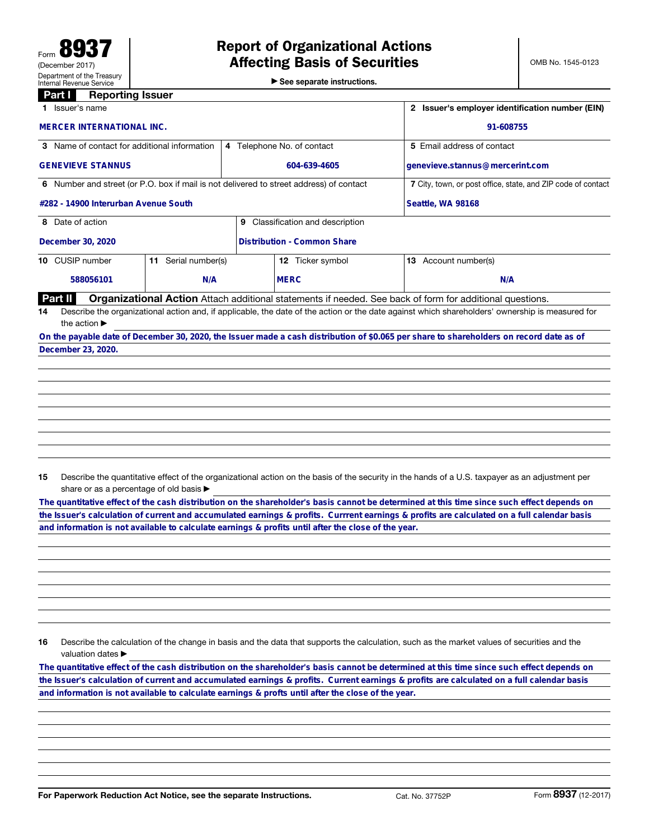▶ See separate instructions.

## **Part I** Reporting Issuer

|                                                                                         | Issuer's name                                                                                                                                   |                         | Issuer's employer identification number (EIN) |                                    |                                                                                                                                         |  |  |  |
|-----------------------------------------------------------------------------------------|-------------------------------------------------------------------------------------------------------------------------------------------------|-------------------------|-----------------------------------------------|------------------------------------|-----------------------------------------------------------------------------------------------------------------------------------------|--|--|--|
|                                                                                         | <b>MERCER INTERNATIONAL INC.</b>                                                                                                                |                         | 91-608755                                     |                                    |                                                                                                                                         |  |  |  |
| 3 Name of contact for additional information                                            |                                                                                                                                                 |                         |                                               | 4 Telephone No. of contact         | 5 Email address of contact                                                                                                              |  |  |  |
|                                                                                         | <b>GENEVIEVE STANNUS</b>                                                                                                                        |                         | 604-639-4605                                  |                                    | genevieve.stannus@mercerint.com                                                                                                         |  |  |  |
| 6 Number and street (or P.O. box if mail is not delivered to street address) of contact |                                                                                                                                                 |                         |                                               |                                    | 7 City, town, or post office, state, and ZIP code of contact                                                                            |  |  |  |
|                                                                                         | #282 - 14900 Interurban Avenue South                                                                                                            |                         | Seattle, WA 98168                             |                                    |                                                                                                                                         |  |  |  |
|                                                                                         | 8 Date of action<br>Classification and description<br>9                                                                                         |                         |                                               |                                    |                                                                                                                                         |  |  |  |
|                                                                                         | December 30, 2020                                                                                                                               |                         |                                               | <b>Distribution - Common Share</b> |                                                                                                                                         |  |  |  |
|                                                                                         | 10 CUSIP number                                                                                                                                 | Serial number(s)<br>11. |                                               | Ticker symbol<br>12.               | Account number(s)<br>13                                                                                                                 |  |  |  |
|                                                                                         | 588056101                                                                                                                                       | N/A                     |                                               | <b>MERC</b>                        | N/A                                                                                                                                     |  |  |  |
|                                                                                         | Part II                                                                                                                                         |                         |                                               |                                    | <b>Organizational Action</b> Attach additional statements if needed. See back of form for additional questions.                         |  |  |  |
| 14                                                                                      | Describe the organizational action and, if applicable, the date of the action or the date against which shareholders' ownership is measured for |                         |                                               |                                    |                                                                                                                                         |  |  |  |
|                                                                                         | the action $\blacktriangleright$                                                                                                                |                         |                                               |                                    |                                                                                                                                         |  |  |  |
|                                                                                         |                                                                                                                                                 |                         |                                               |                                    | On the payable date of December 30, 2020, the Issuer made a cash distribution of \$0.065 per share to shareholders on record date as of |  |  |  |
|                                                                                         | December 23, 2020.                                                                                                                              |                         |                                               |                                    |                                                                                                                                         |  |  |  |

15 Describe the quantitative effect of the organizational action on the basis of the security in the hands of a U.S. taxpayer as an adjustment per share or as a percentage of old basis  $\blacktriangleright$ 

**The quantitative effect of the cash distribution on the shareholder's basis cannot be determined at this time since such effect depends on the Issuer's calculation of current and accumulated earnings & profits. Currrent earnings & profits are calculated on a full calendar basis**

16 Describe the calculation of the change in basis and the data that supports the calculation, such as the market values of securities and the valuation dates ▶ and information is not available to calculate earnings & profits until after the close of the year.<br>
16 Describe the calculation of the change in basis and the data that supports the calculation, such as the market values

the Issuer's calculation of current and accumulated earnings & profits. Current earnings & profits are calculated on a full calendar basis<br>and information is not available to calculate earnings & profts until after the clo